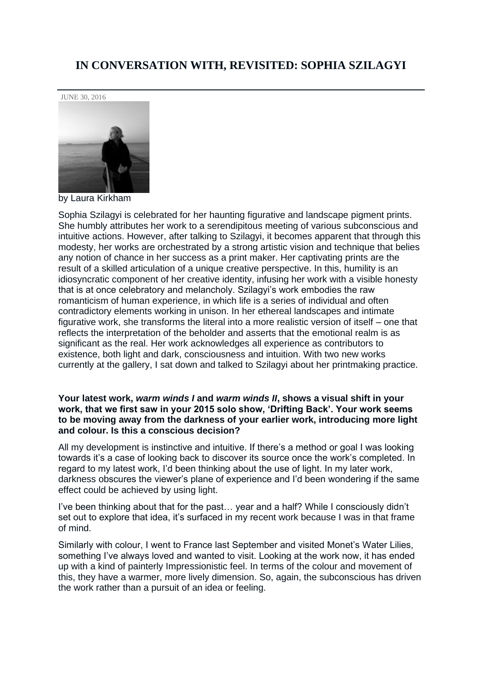# **IN CONVERSATION WITH, REVISITED: SOPHIA SZILAGYI**

[JUNE 30, 2016](https://www.portjacksonpress.com.au/news/in-conversation-with-revisited-sophia-szilagyi)



by Laura Kirkham

Sophia Szilagyi is celebrated for her haunting figurative and landscape pigment prints. She humbly attributes her work to a serendipitous meeting of various subconscious and intuitive actions. However, after talking to Szilagyi, it becomes apparent that through this modesty, her works are orchestrated by a strong artistic vision and technique that belies any notion of chance in her success as a print maker. Her captivating prints are the result of a skilled articulation of a unique creative perspective. In this, humility is an idiosyncratic component of her creative identity, infusing her work with a visible honesty that is at once celebratory and melancholy. Szilagyi's work embodies the raw romanticism of human experience, in which life is a series of individual and often contradictory elements working in unison. In her ethereal landscapes and intimate figurative work, she transforms the literal into a more realistic version of itself – one that reflects the interpretation of the beholder and asserts that the emotional realm is as significant as the real. Her work acknowledges all experience as contributors to existence, both light and dark, consciousness and intuition. With two new works currently at the gallery, I sat down and talked to Szilagyi about her printmaking practice.

#### **Your latest work,** *warm winds I* **and** *warm winds II***, shows a visual shift in your work, that we first saw in your 2015 solo show, 'Drifting Back'. Your work seems to be moving away from the darkness of your earlier work, introducing more light and colour. Is this a conscious decision?**

All my development is instinctive and intuitive. If there's a method or goal I was looking towards it's a case of looking back to discover its source once the work's completed. In regard to my latest work, I'd been thinking about the use of light. In my later work, darkness obscures the viewer's plane of experience and I'd been wondering if the same effect could be achieved by using light.

I've been thinking about that for the past… year and a half? While I consciously didn't set out to explore that idea, it's surfaced in my recent work because I was in that frame of mind.

Similarly with colour, I went to France last September and visited Monet's Water Lilies, something I've always loved and wanted to visit. Looking at the work now, it has ended up with a kind of painterly Impressionistic feel. In terms of the colour and movement of this, they have a warmer, more lively dimension. So, again, the subconscious has driven the work rather than a pursuit of an idea or feeling.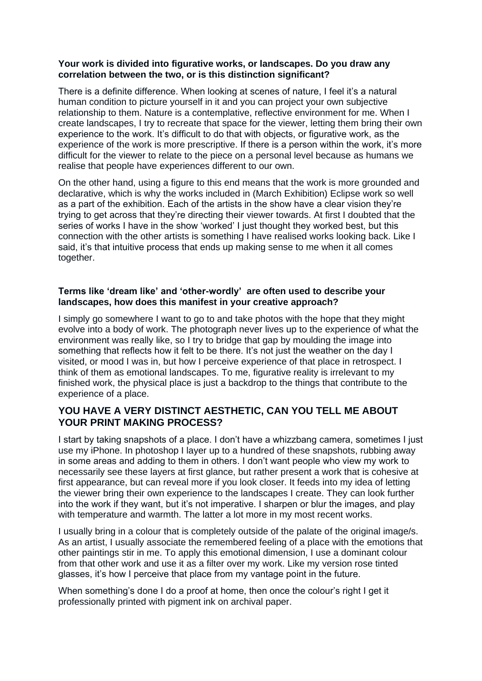## **Your work is divided into figurative works, or landscapes. Do you draw any correlation between the two, or is this distinction significant?**

There is a definite difference. When looking at scenes of nature, I feel it's a natural human condition to picture yourself in it and you can project your own subjective relationship to them. Nature is a contemplative, reflective environment for me. When I create landscapes, I try to recreate that space for the viewer, letting them bring their own experience to the work. It's difficult to do that with objects, or figurative work, as the experience of the work is more prescriptive. If there is a person within the work, it's more difficult for the viewer to relate to the piece on a personal level because as humans we realise that people have experiences different to our own.

On the other hand, using a figure to this end means that the work is more grounded and declarative, which is why the works included in (March Exhibition) Eclipse work so well as a part of the exhibition. Each of the artists in the show have a clear vision they're trying to get across that they're directing their viewer towards. At first I doubted that the series of works I have in the show 'worked' I just thought they worked best, but this connection with the other artists is something I have realised works looking back. Like I said, it's that intuitive process that ends up making sense to me when it all comes together.

## **Terms like 'dream like' and 'other-wordly' are often used to describe your landscapes, how does this manifest in your creative approach?**

I simply go somewhere I want to go to and take photos with the hope that they might evolve into a body of work. The photograph never lives up to the experience of what the environment was really like, so I try to bridge that gap by moulding the image into something that reflects how it felt to be there. It's not just the weather on the day I visited, or mood I was in, but how I perceive experience of that place in retrospect. I think of them as emotional landscapes. To me, figurative reality is irrelevant to my finished work, the physical place is just a backdrop to the things that contribute to the experience of a place.

## **YOU HAVE A VERY DISTINCT AESTHETIC, CAN YOU TELL ME ABOUT YOUR PRINT MAKING PROCESS?**

I start by taking snapshots of a place. I don't have a whizzbang camera, sometimes I just use my iPhone. In photoshop I layer up to a hundred of these snapshots, rubbing away in some areas and adding to them in others. I don't want people who view my work to necessarily see these layers at first glance, but rather present a work that is cohesive at first appearance, but can reveal more if you look closer. It feeds into my idea of letting the viewer bring their own experience to the landscapes I create. They can look further into the work if they want, but it's not imperative. I sharpen or blur the images, and play with temperature and warmth. The latter a lot more in my most recent works.

I usually bring in a colour that is completely outside of the palate of the original image/s. As an artist, I usually associate the remembered feeling of a place with the emotions that other paintings stir in me. To apply this emotional dimension, I use a dominant colour from that other work and use it as a filter over my work. Like my version rose tinted glasses, it's how I perceive that place from my vantage point in the future.

When something's done I do a proof at home, then once the colour's right I get it professionally printed with pigment ink on archival paper.